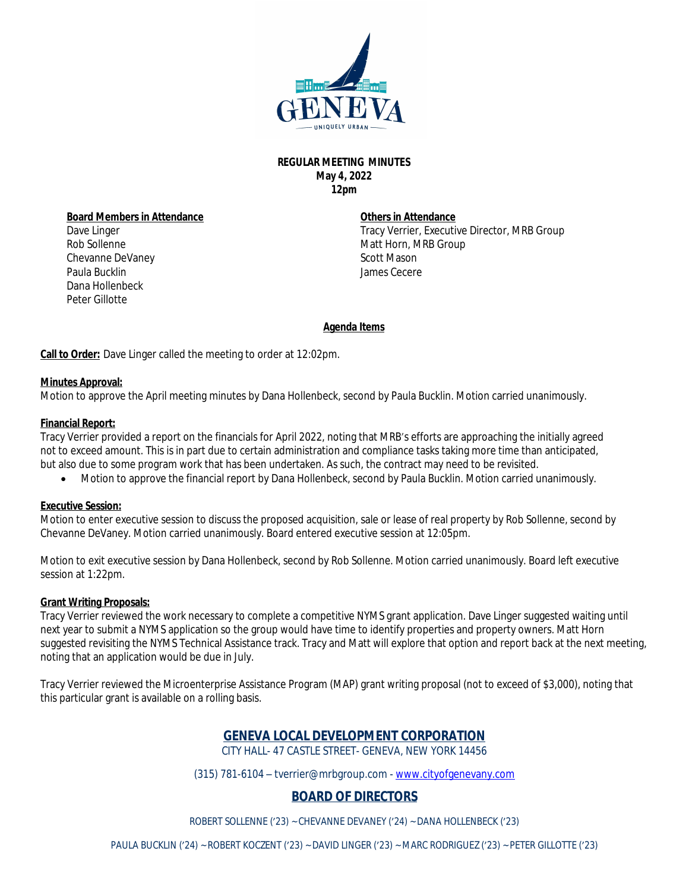

## **REGULAR MEETING MINUTES May 4, 2022 12pm**

**Board Members in Attendance** Dave Linger Rob Sollenne Chevanne DeVaney Paula Bucklin Dana Hollenbeck Peter Gillotte

### **Others in Attendance**

Tracy Verrier, Executive Director, MRB Group Matt Horn, MRB Group Scott Mason James Cecere

## **Agenda Items**

**Call to Order:** Dave Linger called the meeting to order at 12:02pm.

### **Minutes Approval:**

Motion to approve the April meeting minutes by Dana Hollenbeck, second by Paula Bucklin. Motion carried unanimously.

### **Financial Report:**

Tracy Verrier provided a report on the financials for April 2022, noting that MRB's efforts are approaching the initially agreed not to exceed amount. This is in part due to certain administration and compliance tasks taking more time than anticipated, but also due to some program work that has been undertaken. As such, the contract may need to be revisited.

Motion to approve the financial report by Dana Hollenbeck, second by Paula Bucklin. Motion carried unanimously.

#### **Executive Session:**

Motion to enter executive session to discuss the proposed acquisition, sale or lease of real property by Rob Sollenne, second by Chevanne DeVaney. Motion carried unanimously. Board entered executive session at 12:05pm.

Motion to exit executive session by Dana Hollenbeck, second by Rob Sollenne. Motion carried unanimously. Board left executive session at 1:22pm.

#### **Grant Writing Proposals:**

Tracy Verrier reviewed the work necessary to complete a competitive NYMS grant application. Dave Linger suggested waiting until next year to submit a NYMS application so the group would have time to identify properties and property owners. Matt Horn suggested revisiting the NYMS Technical Assistance track. Tracy and Matt will explore that option and report back at the next meeting, noting that an application would be due in July.

Tracy Verrier reviewed the Microenterprise Assistance Program (MAP) grant writing proposal (not to exceed of \$3,000), noting that this particular grant is available on a rolling basis.

# **GENEVA LOCAL DEVELOPMENT CORPORATION**

CITY HALL- 47 CASTLE STREET- GENEVA, NEW YORK 14456

(315) 781-6104 – tverrier@mrbgroup.com - [www.cityofgenevany.com](http://www.cityofgenevany.com)

## **BOARD OF DIRECTORS**

ROBERT SOLLENNE ('23) ~ CHEVANNE DEVANEY ('24) ~ DANA HOLLENBECK ('23)

PAULA BUCKLIN ('24) ~ ROBERT KOCZENT ('23) ~ DAVID LINGER ('23) ~ MARC RODRIGUEZ ('23) ~ PETER GILLOTTE ('23)